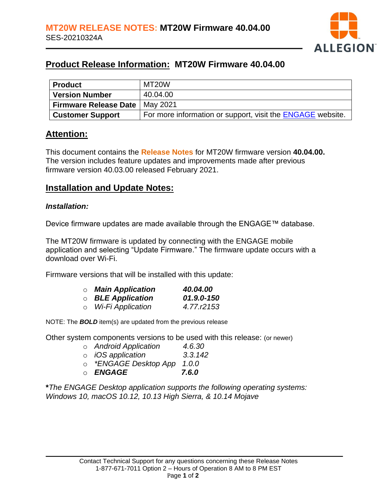

# **Product Release Information: MT20W Firmware 40.04.00**

| Product                      | MT20W                                                             |
|------------------------------|-------------------------------------------------------------------|
| Version Number               | 40.04.00                                                          |
| <b>Firmware Release Date</b> | May 2021                                                          |
| <b>Customer Support</b>      | For more information or support, visit the <b>ENGAGE</b> website. |

### **Attention:**

This document contains the **Release Notes** for MT20W firmware version **40.04.00.** The version includes feature updates and improvements made after previous firmware version 40.03.00 released February 2021.

## **Installation and Update Notes:**

#### *Installation:*

Device firmware updates are made available through the ENGAGE™ database.

The MT20W firmware is updated by connecting with the ENGAGE mobile application and selecting "Update Firmware." The firmware update occurs with a download over Wi-Fi.

Firmware versions that will be installed with this update:

| $\circ$ Main Application   | 40.04.00   |
|----------------------------|------------|
| $\circ$ BLE Application    | 01.9.0-150 |
| ○ <i>Wi-Fi Application</i> | 4.77.r2153 |

NOTE: The *BOLD* item(s) are updated from the previous release

Other system components versions to be used with this release: (or newer)

|         | o Android Application            | 4.6.30  |
|---------|----------------------------------|---------|
|         | ○ <i>iOS application</i>         | 3.3.142 |
| $\circ$ | <i>*ENGAGE Desktop App</i> 1.0.0 |         |

o *ENGAGE 7.6.0*

**\****The ENGAGE Desktop application supports the following operating systems: Windows 10, macOS 10.12, 10.13 High Sierra, & 10.14 Mojave*